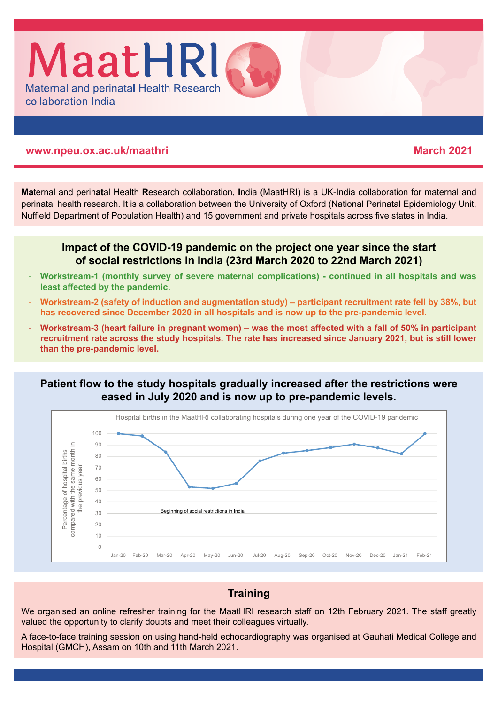

#### **www.npeu.ox.ac.uk/maathri March 2021**

**Ma**ternal and perin**at**al **H**ealth **R**esearch collaboration, **I**ndia (MaatHRI) is a UK-India collaboration for maternal and perinatal health research. It is a collaboration between the University of Oxford (National Perinatal Epidemiology Unit, Nuffield Department of Population Health) and 15 government and private hospitals across five states in India.

## **Impact of the COVID-19 pandemic on the project one year since the start of social restrictions in India (23rd March 2020 to 22nd March 2021)**

- **Workstream-1 (monthly survey of severe maternal complications) continued in all hospitals and was least affected by the pandemic.**
- **Workstream-2 (safety of induction and augmentation study) participant recruitment rate fell by 38%, but has recovered since December 2020 in all hospitals and is now up to the pre-pandemic level.**
- **Workstream-3 (heart failure in pregnant women) was the most affected with a fall of 50% in participant recruitment rate across the study hospitals. The rate has increased since January 2021, but is still lower than the pre-pandemic level.**

## **Patient flow to the study hospitals gradually increased after the restrictions were eased in July 2020 and is now up to pre-pandemic levels.**



# **Training**

We organised an online refresher training for the MaatHRI research staff on 12th February 2021. The staff greatly valued the opportunity to clarify doubts and meet their colleagues virtually.

A face-to-face training session on using hand-held echocardiography was organised at Gauhati Medical College and Hospital (GMCH), Assam on 10th and 11th March 2021.